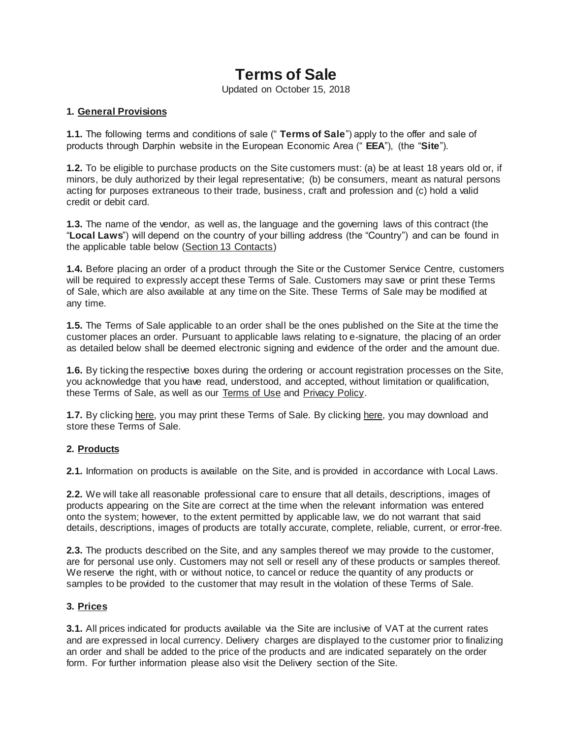# **Terms of Sale**

Updated on October 15, 2018

#### **1. General Provisions**

**1.1.** The following terms and conditions of sale (" **Terms of Sale**") apply to the offer and sale of products through Darphin website in the European Economic Area (" **EEA**"), (the "**Site**").

**1.2.** To be eligible to purchase products on the Site customers must: (a) be at least 18 years old or, if minors, be duly authorized by their legal representative; (b) be consumers, meant as natural persons acting for purposes extraneous to their trade, business, craft and profession and (c) hold a valid credit or debit card.

**1.3.** The name of the vendor, as well as, the language and the governing laws of this contract (the "**Local Laws**") will depend on the country of your billing address (the "Country") and can be found in the applicable table below [\(Section 13 Contacts\)](https://e.darphin.emea3.eu.dev.emea.elcdev.net/be/en/terms-sale#section-13)

**1.4.** Before placing an order of a product through the Site or the Customer Service Centre, customers will be required to expressly accept these Terms of Sale. Customers may save or print these Terms of Sale, which are also available at any time on the Site. These Terms of Sale may be modified at any time.

**1.5.** The Terms of Sale applicable to an order shall be the ones published on the Site at the time the customer places an order. Pursuant to applicable laws relating to e-signature, the placing of an order as detailed below shall be deemed electronic signing and evidence of the order and the amount due.

**1.6.** By ticking the respective boxes during the ordering or account registration processes on the Site, you acknowledge that you have read, understood, and accepted, without limitation or qualification, these Terms of Sale, as well as our [Terms of Use](https://e.darphin.emea3.eu.dev.emea.elcdev.net/terms-use) and [Privacy Policy.](https://e.darphin.emea3.eu.dev.emea.elcdev.net/privacy)

**1.7.** By clicking [here,](https://e.darphin.emea3.eu.dev.emea.elcdev.net/media/export/cms/pdf/terms-sale.pdf) you may print these Terms of Sale. By clicking [here,](https://e.darphin.emea3.eu.dev.emea.elcdev.net/media/export/cms/pdf/terms-sale.pdf) you may download and store these Terms of Sale.

#### **2. Products**

**2.1.** Information on products is available on the Site, and is provided in accordance with Local Laws.

**2.2.** We will take all reasonable professional care to ensure that all details, descriptions, images of products appearing on the Site are correct at the time when the relevant information was entered onto the system; however, to the extent permitted by applicable law, we do not warrant that said details, descriptions, images of products are totally accurate, complete, reliable, current, or error-free.

**2.3.** The products described on the Site, and any samples thereof we may provide to the customer, are for personal use only. Customers may not sell or resell any of these products or samples thereof. We reserve the right, with or without notice, to cancel or reduce the quantity of any products or samples to be provided to the customer that may result in the violation of these Terms of Sale.

#### **3. Prices**

**3.1.** All prices indicated for products available via the Site are inclusive of VAT at the current rates and are expressed in local currency. Delivery charges are displayed to the customer prior to finalizing an order and shall be added to the price of the products and are indicated separately on the order form. For further information please also visit the Delivery section of the Site.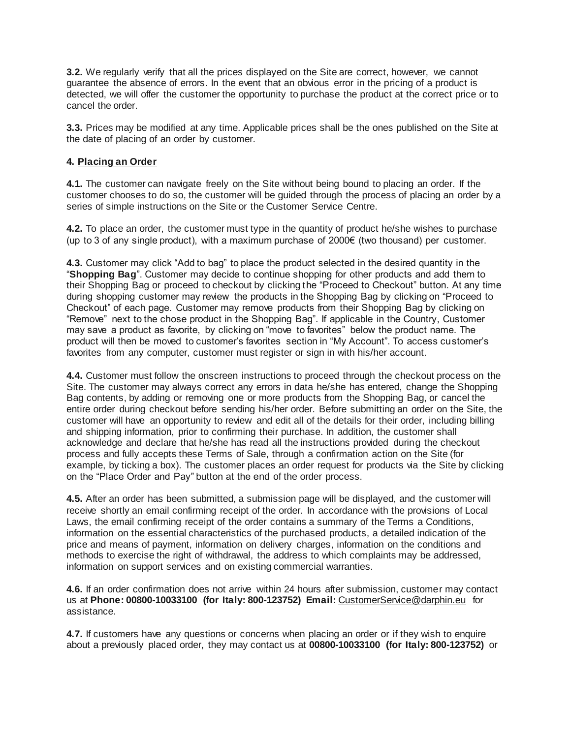**3.2.** We regularly verify that all the prices displayed on the Site are correct, however, we cannot guarantee the absence of errors. In the event that an obvious error in the pricing of a product is detected, we will offer the customer the opportunity to purchase the product at the correct price or to cancel the order.

**3.3.** Prices may be modified at any time. Applicable prices shall be the ones published on the Site at the date of placing of an order by customer.

#### **4. Placing an Order**

**4.1.** The customer can navigate freely on the Site without being bound to placing an order. If the customer chooses to do so, the customer will be guided through the process of placing an order by a series of simple instructions on the Site or the Customer Service Centre.

**4.2.** To place an order, the customer must type in the quantity of product he/she wishes to purchase (up to 3 of any single product), with a maximum purchase of 2000€ (two thousand) per customer.

**4.3.** Customer may click "Add to bag" to place the product selected in the desired quantity in the "**Shopping Bag**". Customer may decide to continue shopping for other products and add them to their Shopping Bag or proceed to checkout by clicking the "Proceed to Checkout" button. At any time during shopping customer may review the products in the Shopping Bag by clicking on "Proceed to Checkout" of each page. Customer may remove products from their Shopping Bag by clicking on "Remove" next to the chose product in the Shopping Bag". If applicable in the Country, Customer may save a product as favorite, by clicking on "move to favorites" below the product name. The product will then be moved to customer's favorites section in "My Account". To access customer's favorites from any computer, customer must register or sign in with his/her account.

**4.4.** Customer must follow the onscreen instructions to proceed through the checkout process on the Site. The customer may always correct any errors in data he/she has entered, change the Shopping Bag contents, by adding or removing one or more products from the Shopping Bag, or cancel the entire order during checkout before sending his/her order. Before submitting an order on the Site, the customer will have an opportunity to review and edit all of the details for their order, including billing and shipping information, prior to confirming their purchase. In addition, the customer shall acknowledge and declare that he/she has read all the instructions provided during the checkout process and fully accepts these Terms of Sale, through a confirmation action on the Site (for example, by ticking a box). The customer places an order request for products via the Site by clicking on the "Place Order and Pay" button at the end of the order process.

**4.5.** After an order has been submitted, a submission page will be displayed, and the customer will receive shortly an email confirming receipt of the order. In accordance with the provisions of Local Laws, the email confirming receipt of the order contains a summary of the Terms a Conditions, information on the essential characteristics of the purchased products, a detailed indication of the price and means of payment, information on delivery charges, information on the conditions and methods to exercise the right of withdrawal, the address to which complaints may be addressed, information on support services and on existing commercial warranties.

**4.6.** If an order confirmation does not arrive within 24 hours after submission, customer may contact us at Phone: 00800-10033100 (for Italy: 800-123752) Email: [CustomerService@darphin.eu](mailto:CustomerService@darphin.eu) for assistance.

**4.7.** If customers have any questions or concerns when placing an order or if they wish to enquire about a previously placed order, they may contact us at **00800-10033100 (for Italy: 800-123752)** or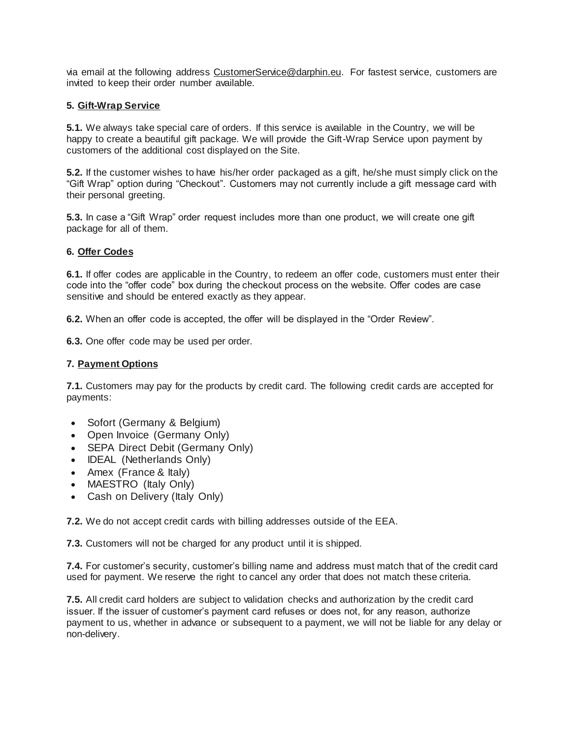via email at the following address [CustomerService@darphin.eu.](mailto:CustomerService@darphin.eu) For fastest service, customers are invited to keep their order number available.

#### **5. Gift-Wrap Service**

**5.1.** We always take special care of orders. If this service is available in the Country, we will be happy to create a beautiful gift package. We will provide the Gift-Wrap Service upon payment by customers of the additional cost displayed on the Site.

**5.2.** If the customer wishes to have his/her order packaged as a gift, he/she must simply click on the "Gift Wrap" option during "Checkout". Customers may not currently include a gift message card with their personal greeting.

**5.3.** In case a "Gift Wrap" order request includes more than one product, we will create one gift package for all of them.

#### **6. Offer Codes**

**6.1.** If offer codes are applicable in the Country, to redeem an offer code, customers must enter their code into the "offer code" box during the checkout process on the website. Offer codes are case sensitive and should be entered exactly as they appear.

**6.2.** When an offer code is accepted, the offer will be displayed in the "Order Review".

**6.3.** One offer code may be used per order.

#### **7. Payment Options**

**7.1.** Customers may pay for the products by credit card. The following credit cards are accepted for payments:

- Sofort (Germany & Belgium)
- Open Invoice (Germany Only)
- SEPA Direct Debit (Germany Only)
- **IDEAL** (Netherlands Only)
- Amex (France & Italy)
- MAESTRO (Italy Only)
- Cash on Delivery (Italy Only)

**7.2.** We do not accept credit cards with billing addresses outside of the EEA.

**7.3.** Customers will not be charged for any product until it is shipped.

**7.4.** For customer's security, customer's billing name and address must match that of the credit card used for payment. We reserve the right to cancel any order that does not match these criteria.

**7.5.** All credit card holders are subject to validation checks and authorization by the credit card issuer. If the issuer of customer's payment card refuses or does not, for any reason, authorize payment to us, whether in advance or subsequent to a payment, we will not be liable for any delay or non-delivery.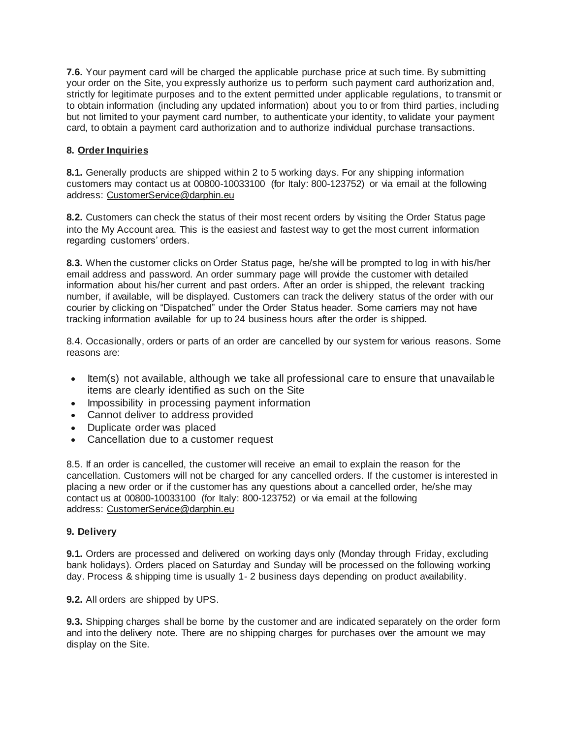**7.6.** Your payment card will be charged the applicable purchase price at such time. By submitting your order on the Site, you expressly authorize us to perform such payment card authorization and, strictly for legitimate purposes and to the extent permitted under applicable regulations, to transmit or to obtain information (including any updated information) about you to or from third parties, including but not limited to your payment card number, to authenticate your identity, to validate your payment card, to obtain a payment card authorization and to authorize individual purchase transactions.

# **8. Order Inquiries**

**8.1.** Generally products are shipped within 2 to 5 working days. For any shipping information customers may contact us at 00800-10033100 (for Italy: 800-123752) or via email at the following address: [CustomerService@darphin.eu](mailto:CustomerService@darphin.eu)

**8.2.** Customers can check the status of their most recent orders by visiting the Order Status page into the My Account area. This is the easiest and fastest way to get the most current information regarding customers' orders.

**8.3.** When the customer clicks on Order Status page, he/she will be prompted to log in with his/her email address and password. An order summary page will provide the customer with detailed information about his/her current and past orders. After an order is shipped, the relevant tracking number, if available, will be displayed. Customers can track the delivery status of the order with our courier by clicking on "Dispatched" under the Order Status header. Some carriers may not have tracking information available for up to 24 business hours after the order is shipped.

8.4. Occasionally, orders or parts of an order are cancelled by our system for various reasons. Some reasons are:

- Item(s) not available, although we take all professional care to ensure that unavailable items are clearly identified as such on the Site
- Impossibility in processing payment information
- Cannot deliver to address provided
- Duplicate order was placed
- Cancellation due to a customer request

8.5. If an order is cancelled, the customer will receive an email to explain the reason for the cancellation. Customers will not be charged for any cancelled orders. If the customer is interested in placing a new order or if the customer has any questions about a cancelled order, he/she may contact us at 00800-10033100 (for Italy: 800-123752) or via email at the following address: [CustomerService@darphin.eu](mailto:CustomerService@darphin.eu)

#### **9. Delivery**

**9.1.** Orders are processed and delivered on working days only (Monday through Friday, excluding bank holidays). Orders placed on Saturday and Sunday will be processed on the following working day. Process & shipping time is usually 1- 2 business days depending on product availability.

**9.2.** All orders are shipped by UPS.

**9.3.** Shipping charges shall be borne by the customer and are indicated separately on the order form and into the delivery note. There are no shipping charges for purchases over the amount we may display on the Site.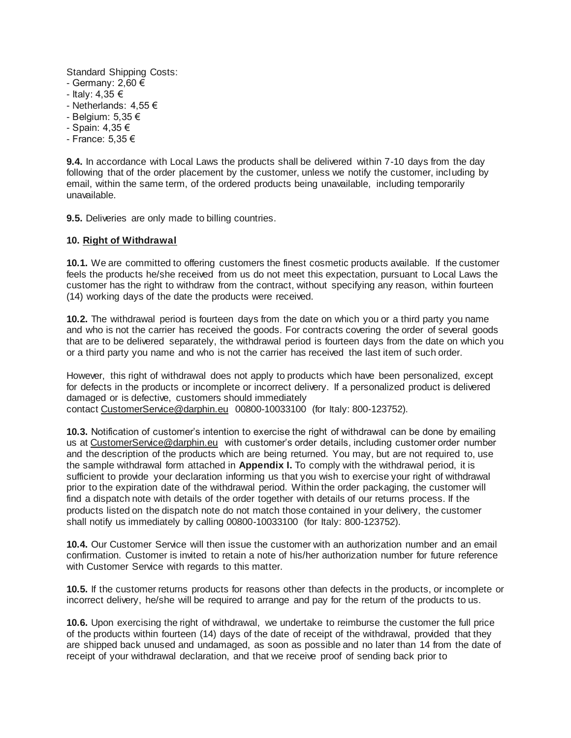Standard Shipping Costs:

- Germany: 2,60 €
- Italy: 4,35 €
- Netherlands: 4,55 €
- Belgium: 5,35 €
- Spain: 4,35 €
- France: 5,35 €

**9.4.** In accordance with Local Laws the products shall be delivered within 7-10 days from the day following that of the order placement by the customer, unless we notify the customer, including by email, within the same term, of the ordered products being unavailable, including temporarily unavailable.

**9.5.** Deliveries are only made to billing countries.

#### **10. Right of Withdrawal**

**10.1.** We are committed to offering customers the finest cosmetic products available. If the customer feels the products he/she received from us do not meet this expectation, pursuant to Local Laws the customer has the right to withdraw from the contract, without specifying any reason, within fourteen (14) working days of the date the products were received.

**10.2.** The withdrawal period is fourteen days from the date on which you or a third party you name and who is not the carrier has received the goods. For contracts covering the order of several goods that are to be delivered separately, the withdrawal period is fourteen days from the date on which you or a third party you name and who is not the carrier has received the last item of such order.

However, this right of withdrawal does not apply to products which have been personalized, except for defects in the products or incomplete or incorrect delivery. If a personalized product is delivered damaged or is defective, customers should immediately contact [CustomerService@darphin.eu](mailto:CustomerService@darphin.eu) 00800-10033100 (for Italy: 800-123752).

**10.3.** Notification of customer's intention to exercise the right of withdrawal can be done by emailing us at [CustomerService@darphin.eu](mailto:CustomerService@darphin.eu) with customer's order details, including customer order number and the description of the products which are being returned. You may, but are not required to, use the sample withdrawal form attached in **Appendix I.** To comply with the withdrawal period, it is sufficient to provide your declaration informing us that you wish to exercise your right of withdrawal prior to the expiration date of the withdrawal period. Within the order packaging, the customer will find a dispatch note with details of the order together with details of our returns process. If the products listed on the dispatch note do not match those contained in your delivery, the customer shall notify us immediately by calling 00800-10033100 (for Italy: 800-123752).

**10.4.** Our Customer Service will then issue the customer with an authorization number and an email confirmation. Customer is invited to retain a note of his/her authorization number for future reference with Customer Service with regards to this matter.

**10.5.** If the customer returns products for reasons other than defects in the products, or incomplete or incorrect delivery, he/she will be required to arrange and pay for the return of the products to us.

**10.6.** Upon exercising the right of withdrawal, we undertake to reimburse the customer the full price of the products within fourteen (14) days of the date of receipt of the withdrawal, provided that they are shipped back unused and undamaged, as soon as possible and no later than 14 from the date of receipt of your withdrawal declaration, and that we receive proof of sending back prior to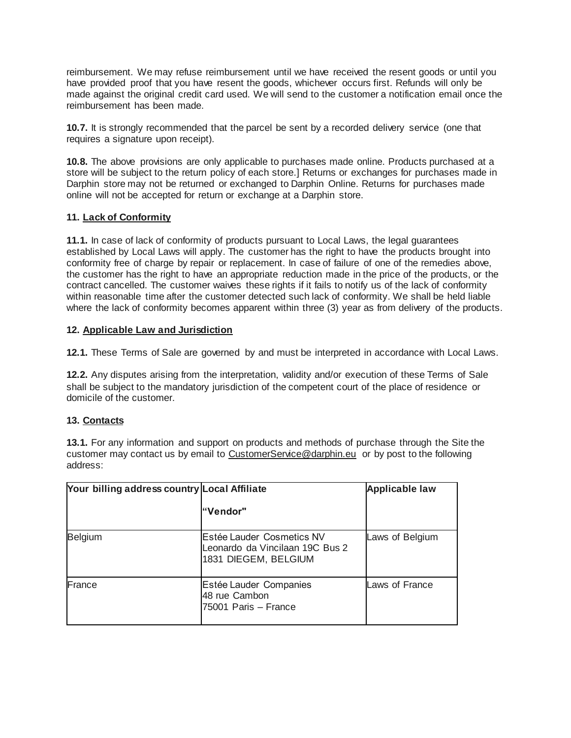reimbursement. We may refuse reimbursement until we have received the resent goods or until you have provided proof that you have resent the goods, whichever occurs first. Refunds will only be made against the original credit card used. We will send to the customer a notification email once the reimbursement has been made.

**10.7.** It is strongly recommended that the parcel be sent by a recorded delivery service (one that requires a signature upon receipt).

**10.8.** The above provisions are only applicable to purchases made online. Products purchased at a store will be subject to the return policy of each store.] Returns or exchanges for purchases made in Darphin store may not be returned or exchanged to Darphin Online. Returns for purchases made online will not be accepted for return or exchange at a Darphin store.

#### **11. Lack of Conformity**

**11.1.** In case of lack of conformity of products pursuant to Local Laws, the legal guarantees established by Local Laws will apply. The customer has the right to have the products brought into conformity free of charge by repair or replacement. In case of failure of one of the remedies above, the customer has the right to have an appropriate reduction made in the price of the products, or the contract cancelled. The customer waives these rights if it fails to notify us of the lack of conformity within reasonable time after the customer detected such lack of conformity. We shall be held liable where the lack of conformity becomes apparent within three (3) year as from delivery of the products.

#### **12. Applicable Law and Jurisdiction**

**12.1.** These Terms of Sale are governed by and must be interpreted in accordance with Local Laws.

**12.2.** Any disputes arising from the interpretation, validity and/or execution of these Terms of Sale shall be subject to the mandatory jurisdiction of the competent court of the place of residence or domicile of the customer.

# **13. Contacts**

**13.1.** For any information and support on products and methods of purchase through the Site the customer may contact us by email to [CustomerService@darphin.eu](mailto:CustomerService@darphin.eu) or by post to the following address:

| Your billing address country Local Affiliate |                                                                                      | <b>Applicable law</b> |
|----------------------------------------------|--------------------------------------------------------------------------------------|-----------------------|
|                                              | "Vendor"                                                                             |                       |
| <b>Belgium</b>                               | Estée Lauder Cosmetics NV<br>Leonardo da Vincilaan 19C Bus 2<br>1831 DIEGEM, BELGIUM | Laws of Belgium       |
| France                                       | Estée Lauder Companies<br>48 rue Cambon<br>75001 Paris - France                      | Laws of France        |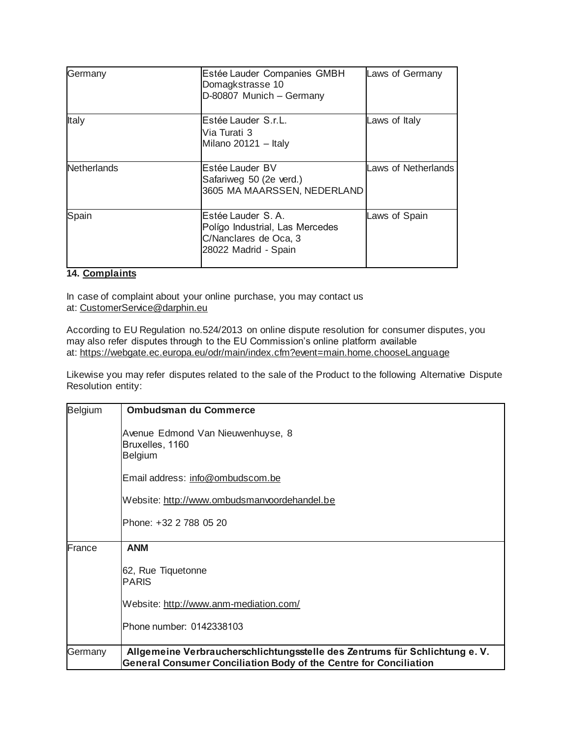| Germany            | Estée Lauder Companies GMBH<br>Domagkstrasse 10<br>D-80807 Munich - Germany                             | Laws of Germany     |
|--------------------|---------------------------------------------------------------------------------------------------------|---------------------|
| Italy              | Estée Lauder, S.r.L.<br>Via Turati 3<br>Milano 20121 - Italy                                            | Laws of Italy       |
| <b>Netherlands</b> | Estée Lauder BV<br>Safariweg 50 (2e verd.)<br>3605 MA MAARSSEN, NEDERLAND                               | Laws of Netherlands |
| Spain              | Estée Lauder, S. A.<br>Polígo Industrial, Las Mercedes<br>C/Nanclares de Oca, 3<br>28022 Madrid - Spain | Laws of Spain       |

# **14. Complaints**

In case of complaint about your online purchase, you may contact us at: [CustomerService@darphin.eu](mailto:CustomerService@darphin.eu)

According to EU Regulation no.524/2013 on online dispute resolution for consumer disputes, you may also refer disputes through to the EU Commission's online platform available at: <https://webgate.ec.europa.eu/odr/main/index.cfm?event=main.home.chooseLanguage>

Likewise you may refer disputes related to the sale of the Product to the following Alternative Dispute Resolution entity:

| <b>Belgium</b> | <b>Ombudsman du Commerce</b>                                                                                                                            |
|----------------|---------------------------------------------------------------------------------------------------------------------------------------------------------|
|                | Avenue Edmond Van Nieuwenhuyse, 8<br>Bruxelles, 1160<br><b>Belgium</b>                                                                                  |
|                | Email address: info@ombudscom.be                                                                                                                        |
|                | Website: http://www.ombudsmanvoordehandel.be                                                                                                            |
|                | Phone: +32 2 788 05 20                                                                                                                                  |
| France         | <b>ANM</b>                                                                                                                                              |
|                | 62, Rue Tiquetonne<br><b>PARIS</b>                                                                                                                      |
|                | Website: http://www.anm-mediation.com/                                                                                                                  |
|                | Phone number: 0142338103                                                                                                                                |
| Germany        | Allgemeine Verbraucherschlichtungsstelle des Zentrums für Schlichtung e. V.<br><b>General Consumer Conciliation Body of the Centre for Conciliation</b> |